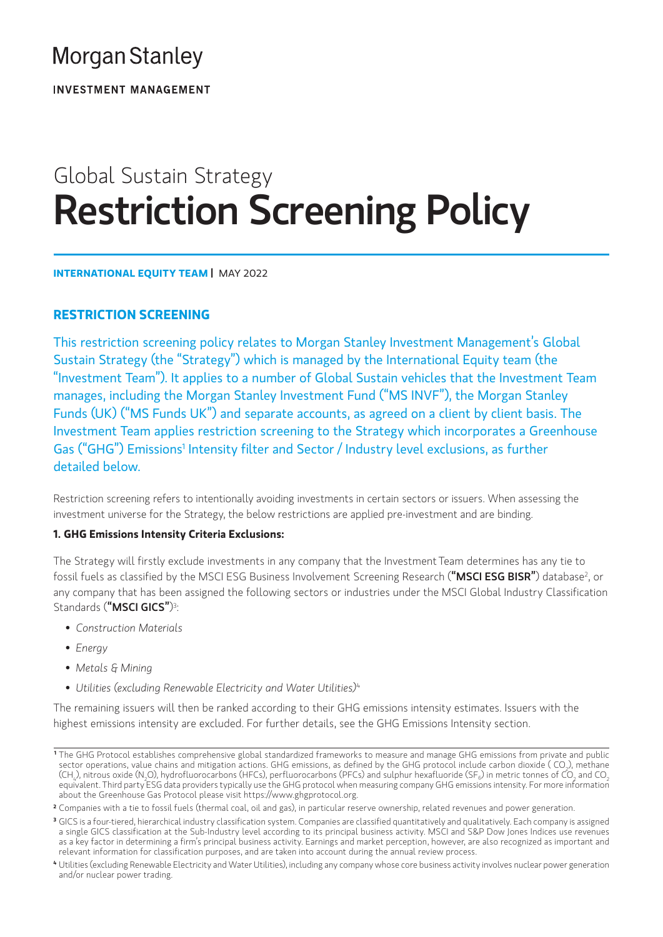# **Morgan Stanley**

**INVESTMENT MANAGEMENT** 

# Global Sustain Strategy Restriction Screening Policy

**INTERNATIONAL EQUITY TEAM |** MAY 2022

# **RESTRICTION SCREENING**

This restriction screening policy relates to Morgan Stanley Investment Management's Global Sustain Strategy (the "Strategy") which is managed by the International Equity team (the "Investment Team"). It applies to a number of Global Sustain vehicles that the Investment Team manages, including the Morgan Stanley Investment Fund ("MS INVF"), the Morgan Stanley Funds (UK) ("MS Funds UK") and separate accounts, as agreed on a client by client basis. The Investment Team applies restriction screening to the Strategy which incorporates a Greenhouse Gas ("GHG") Emissions<sup>1</sup> Intensity filter and Sector / Industry level exclusions, as further detailed below.

Restriction screening refers to intentionally avoiding investments in certain sectors or issuers. When assessing the investment universe for the Strategy, the below restrictions are applied pre-investment and are binding.

#### **1. GHG Emissions Intensity Criteria Exclusions:**

The Strategy will firstly exclude investments in any company that the Investment Team determines has any tie to fossil fuels as classified by the MSCI ESG Business Involvement Screening Research (**"MSCI ESG BISR"**) database<sup>2</sup>, or any company that has been assigned the following sectors or industries under the MSCI Global Industry Classification Standards ("MSCI GICS")<sup>3</sup>:

- *Construction Materials*
- *Energy*
- *Metals & Mining*
- *Utilities (excluding Renewable Electricity and Water Utilities)*<sup>4</sup>

The remaining issuers will then be ranked according to their GHG emissions intensity estimates. Issuers with the highest emissions intensity are excluded. For further details, see the GHG Emissions Intensity section.

**<sup>1</sup>** The GHG Protocol establishes comprehensive global standardized frameworks to measure and manage GHG emissions from private and public sector operations, value chains and mitigation actions. GHG emissions, as defined by the GHG protocol include carbon dioxide ( CO<sub>2</sub>), methane (CH $_{_4}$ ), nitrous oxide (N $_{_2}$ O), hydrofluorocarbons (HFCs), perfluorocarbons (PFCs) and sulphur hexafluoride (SF $_{6}$ ) in metric tonnes of CO $_{_2}$  and CO $_{_2}$ equivalent. Third party ESG data providers typically use the GHG protocol when measuring company GHG emissions intensity. For more information about the Greenhouse Gas Protocol please visit [https://www.ghgprotocol.org.](https://www.ghgprotocol.org)

**<sup>2</sup>** Companies with a tie to fossil fuels (thermal coal, oil and gas), in particular reserve ownership, related revenues and power generation.

**<sup>3</sup>** GICS is a four-tiered, hierarchical industry classification system. Companies are classified quantitatively and qualitatively. Each company is assigned a single GICS classification at the Sub-Industry level according to its principal business activity. MSCI and S&P Dow Jones Indices use revenues as a key factor in determining a firm's principal business activity. Earnings and market perception, however, are also recognized as important and relevant information for classification purposes, and are taken into account during the annual review process.

**<sup>4</sup>** Utilities (excluding Renewable Electricity and Water Utilities), including any company whose core business activity involves nuclear power generation and/or nuclear power trading.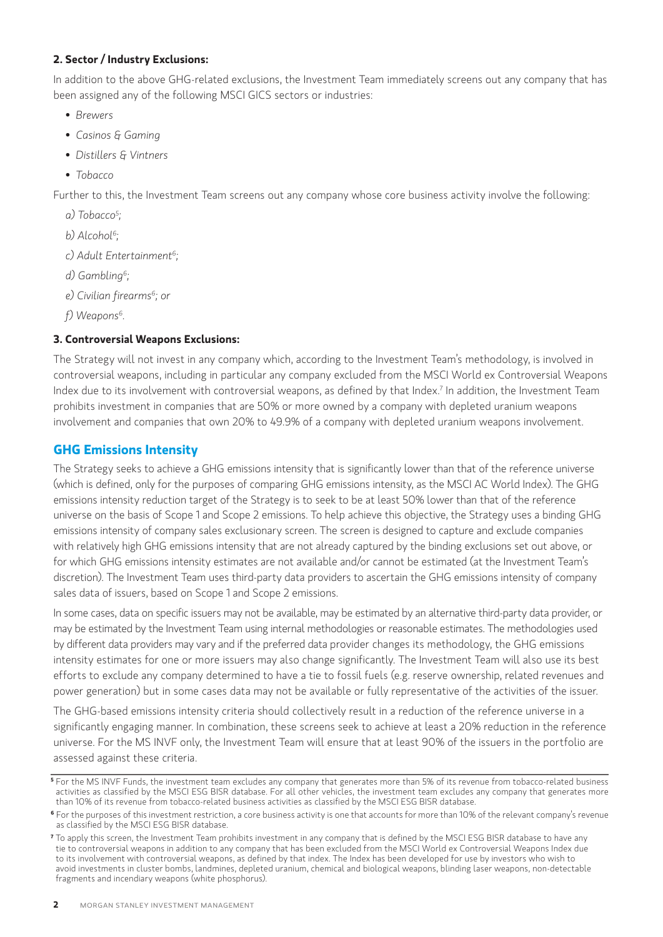#### **2. Sector / Industry Exclusions:**

In addition to the above GHG-related exclusions, the Investment Team immediately screens out any company that has been assigned any of the following MSCI GICS sectors or industries:

- *Brewers*
- *Casinos & Gaming*
- *Distillers & Vintners*
- *Tobacco*

Further to this, the Investment Team screens out any company whose core business activity involve the following:

- *a) Tobacco5 ;*
- *b) Alcohol6;*
- *c) Adult Entertainment6;*
- *d) Gambling6;*
- *e) Civilian firearms6; or*
- *f) Weapons6.*

# **3. Controversial Weapons Exclusions:**

The Strategy will not invest in any company which, according to the Investment Team's methodology, is involved in controversial weapons, including in particular any company excluded from the MSCI World ex Controversial Weapons Index due to its involvement with controversial weapons, as defined by that Index.7 In addition, the Investment Team prohibits investment in companies that are 50% or more owned by a company with depleted uranium weapons involvement and companies that own 20% to 49.9% of a company with depleted uranium weapons involvement.

# **GHG Emissions Intensity**

The Strategy seeks to achieve a GHG emissions intensity that is significantly lower than that of the reference universe (which is defined, only for the purposes of comparing GHG emissions intensity, as the MSCI AC World Index). The GHG emissions intensity reduction target of the Strategy is to seek to be at least 50% lower than that of the reference universe on the basis of Scope 1 and Scope 2 emissions. To help achieve this objective, the Strategy uses a binding GHG emissions intensity of company sales exclusionary screen. The screen is designed to capture and exclude companies with relatively high GHG emissions intensity that are not already captured by the binding exclusions set out above, or for which GHG emissions intensity estimates are not available and/or cannot be estimated (at the Investment Team's discretion). The Investment Team uses third-party data providers to ascertain the GHG emissions intensity of company sales data of issuers, based on Scope 1 and Scope 2 emissions.

In some cases, data on specific issuers may not be available, may be estimated by an alternative third-party data provider, or may be estimated by the Investment Team using internal methodologies or reasonable estimates. The methodologies used by different data providers may vary and if the preferred data provider changes its methodology, the GHG emissions intensity estimates for one or more issuers may also change significantly. The Investment Team will also use its best efforts to exclude any company determined to have a tie to fossil fuels (e.g. reserve ownership, related revenues and power generation) but in some cases data may not be available or fully representative of the activities of the issuer.

The GHG-based emissions intensity criteria should collectively result in a reduction of the reference universe in a significantly engaging manner. In combination, these screens seek to achieve at least a 20% reduction in the reference universe. For the MS INVF only, the Investment Team will ensure that at least 90% of the issuers in the portfolio are assessed against these criteria.

**<sup>5</sup>** For the MS INVF Funds, the investment team excludes any company that generates more than 5% of its revenue from tobacco-related business activities as classified by the MSCI ESG BISR database. For all other vehicles, the investment team excludes any company that generates more than 10% of its revenue from tobacco-related business activities as classified by the MSCI ESG BISR database.

**<sup>6</sup>** For the purposes of this investment restriction, a core business activity is one that accounts for more than 10% of the relevant company's revenue as classified by the MSCI ESG BISR database.

**<sup>7</sup>** To apply this screen, the Investment Team prohibits investment in any company that is defined by the MSCI ESG BISR database to have any tie to controversial weapons in addition to any company that has been excluded from the MSCI World ex Controversial Weapons Index due to its involvement with controversial weapons, as defined by that index. The Index has been developed for use by investors who wish to avoid investments in cluster bombs, landmines, depleted uranium, chemical and biological weapons, blinding laser weapons, non-detectable fragments and incendiary weapons (white phosphorus).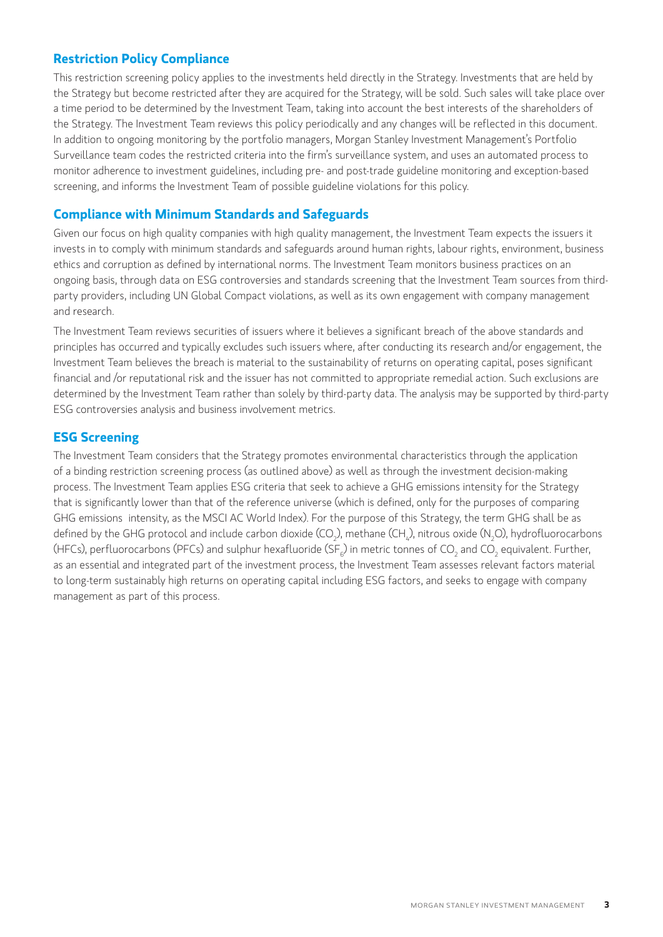# **Restriction Policy Compliance**

This restriction screening policy applies to the investments held directly in the Strategy. Investments that are held by the Strategy but become restricted after they are acquired for the Strategy, will be sold. Such sales will take place over a time period to be determined by the Investment Team, taking into account the best interests of the shareholders of the Strategy. The Investment Team reviews this policy periodically and any changes will be reflected in this document. In addition to ongoing monitoring by the portfolio managers, Morgan Stanley Investment Management's Portfolio Surveillance team codes the restricted criteria into the firm's surveillance system, and uses an automated process to monitor adherence to investment guidelines, including pre- and post-trade guideline monitoring and exception-based screening, and informs the Investment Team of possible guideline violations for this policy.

#### **Compliance with Minimum Standards and Safeguards**

Given our focus on high quality companies with high quality management, the Investment Team expects the issuers it invests in to comply with minimum standards and safeguards around human rights, labour rights, environment, business ethics and corruption as defined by international norms. The Investment Team monitors business practices on an ongoing basis, through data on ESG controversies and standards screening that the Investment Team sources from thirdparty providers, including UN Global Compact violations, as well as its own engagement with company management and research.

The Investment Team reviews securities of issuers where it believes a significant breach of the above standards and principles has occurred and typically excludes such issuers where, after conducting its research and/or engagement, the Investment Team believes the breach is material to the sustainability of returns on operating capital, poses significant financial and /or reputational risk and the issuer has not committed to appropriate remedial action. Such exclusions are determined by the Investment Team rather than solely by third-party data. The analysis may be supported by third-party ESG controversies analysis and business involvement metrics.

# **ESG Screening**

The Investment Team considers that the Strategy promotes environmental characteristics through the application of a binding restriction screening process (as outlined above) as well as through the investment decision-making process. The Investment Team applies ESG criteria that seek to achieve a GHG emissions intensity for the Strategy that is significantly lower than that of the reference universe (which is defined, only for the purposes of comparing GHG emissions intensity, as the MSCI AC World Index). For the purpose of this Strategy, the term GHG shall be as defined by the GHG protocol and include carbon dioxide (CO<sub>2</sub>), methane (CH<sub>4</sub>), nitrous oxide (N<sub>2</sub>O), hydrofluorocarbons (HFCs), perfluorocarbons (PFCs) and sulphur hexafluoride (SF<sub>6</sub>) in metric tonnes of CO<sub>2</sub> and CO<sub>2</sub> equivalent. Further, as an essential and integrated part of the investment process, the Investment Team assesses relevant factors material to long-term sustainably high returns on operating capital including ESG factors, and seeks to engage with company management as part of this process.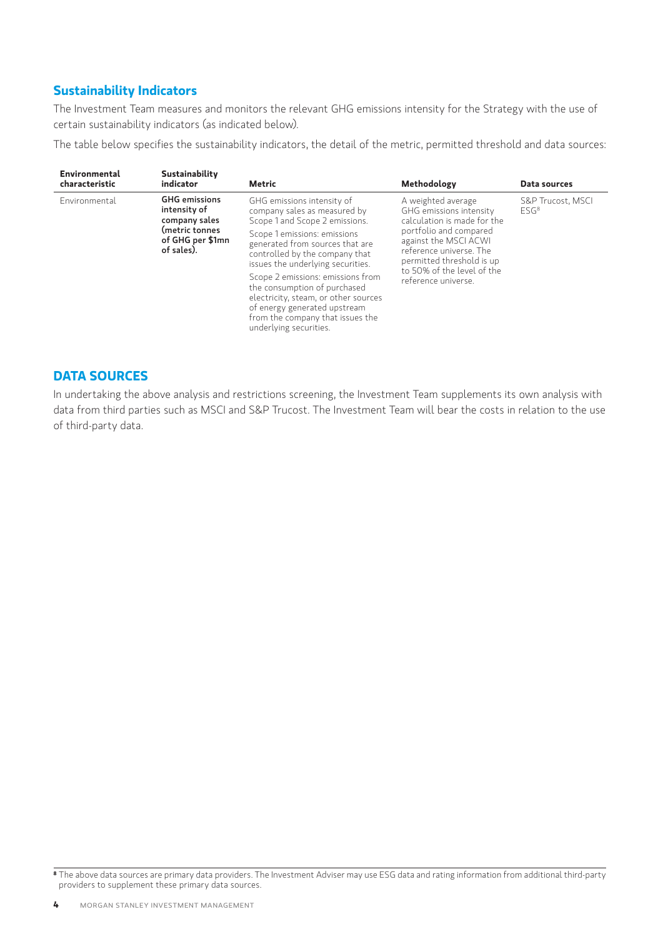# **Sustainability Indicators**

The Investment Team measures and monitors the relevant GHG emissions intensity for the Strategy with the use of certain sustainability indicators (as indicated below).

The table below specifies the sustainability indicators, the detail of the metric, permitted threshold and data sources:

| <b>Environmental</b><br>characteristic | Sustainability<br>indicator                                                                               | Metric                                                                                                                                                                                                  | Methodology                                                                                                                                                                                                                                  | Data sources                          |
|----------------------------------------|-----------------------------------------------------------------------------------------------------------|---------------------------------------------------------------------------------------------------------------------------------------------------------------------------------------------------------|----------------------------------------------------------------------------------------------------------------------------------------------------------------------------------------------------------------------------------------------|---------------------------------------|
| Environmental                          | <b>GHG emissions</b><br>intensity of<br>company sales<br>(metric tonnes<br>of GHG per \$1mn<br>of sales). | GHG emissions intensity of<br>company sales as measured by<br>Scope 1 and Scope 2 emissions.                                                                                                            | A weighted average<br>GHG emissions intensity<br>calculation is made for the<br>portfolio and compared<br>against the MSCI ACWI<br>reference universe. The<br>permitted threshold is up<br>to 50% of the level of the<br>reference universe. | S&P Trucost, MSCI<br>ESG <sup>8</sup> |
|                                        |                                                                                                           | Scope 1 emissions: emissions<br>generated from sources that are<br>controlled by the company that<br>issues the underlying securities.                                                                  |                                                                                                                                                                                                                                              |                                       |
|                                        |                                                                                                           | Scope 2 emissions: emissions from<br>the consumption of purchased<br>electricity, steam, or other sources<br>of energy generated upstream<br>from the company that issues the<br>underlying securities. |                                                                                                                                                                                                                                              |                                       |

# **DATA SOURCES**

In undertaking the above analysis and restrictions screening, the Investment Team supplements its own analysis with data from third parties such as MSCI and S&P Trucost. The Investment Team will bear the costs in relation to the use of third-party data.

**<sup>8</sup>** The above data sources are primary data providers. The Investment Adviser may use ESG data and rating information from additional third-party providers to supplement these primary data sources.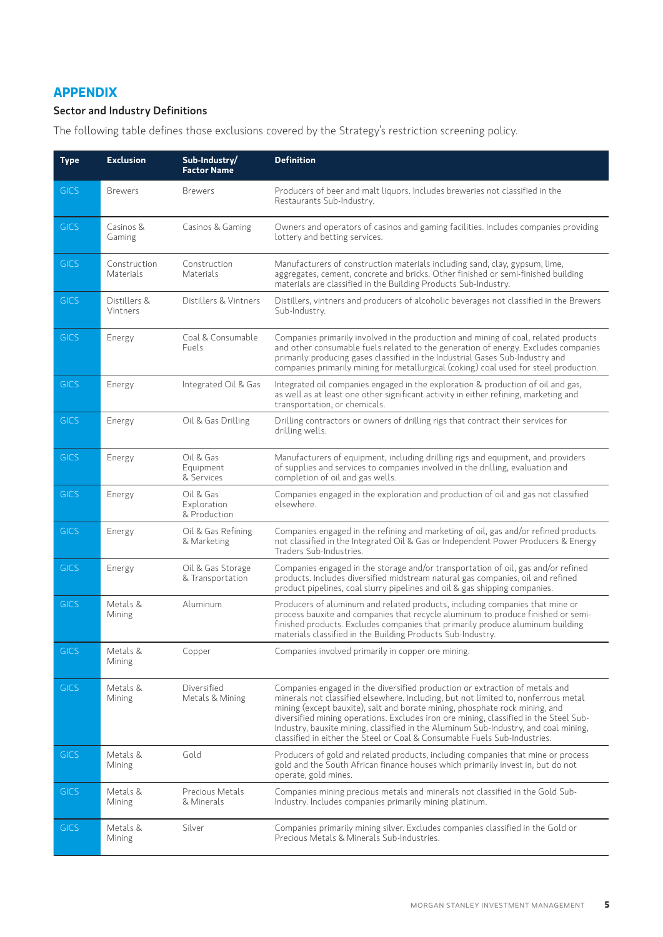#### **APPENDIX**

#### Sector and Industry Definitions

The following table defines those exclusions covered by the Strategy's restriction screening policy.

| <b>Type</b> | <b>Exclusion</b>                 | Sub-Industry/<br><b>Factor Name</b>      | <b>Definition</b>                                                                                                                                                                                                                                                                                                                                                                                                                                                                                             |
|-------------|----------------------------------|------------------------------------------|---------------------------------------------------------------------------------------------------------------------------------------------------------------------------------------------------------------------------------------------------------------------------------------------------------------------------------------------------------------------------------------------------------------------------------------------------------------------------------------------------------------|
| <b>GICS</b> | <b>Brewers</b>                   | <b>Brewers</b>                           | Producers of beer and malt liquors. Includes breweries not classified in the<br>Restaurants Sub-Industry.                                                                                                                                                                                                                                                                                                                                                                                                     |
| <b>GICS</b> | Casinos &<br>Gaming              | Casinos & Gaming                         | Owners and operators of casinos and gaming facilities. Includes companies providing<br>lottery and betting services.                                                                                                                                                                                                                                                                                                                                                                                          |
| <b>GICS</b> | Construction<br><b>Materials</b> | Construction<br>Materials                | Manufacturers of construction materials including sand, clay, gypsum, lime,<br>aggregates, cement, concrete and bricks. Other finished or semi-finished building<br>materials are classified in the Building Products Sub-Industry.                                                                                                                                                                                                                                                                           |
| <b>GICS</b> | Distillers &<br>Vintners         | Distillers & Vintners                    | Distillers, vintners and producers of alcoholic beverages not classified in the Brewers<br>Sub-Industry.                                                                                                                                                                                                                                                                                                                                                                                                      |
| <b>GICS</b> | Energy                           | Coal & Consumable<br><b>Fuels</b>        | Companies primarily involved in the production and mining of coal, related products<br>and other consumable fuels related to the generation of energy. Excludes companies<br>primarily producing gases classified in the Industrial Gases Sub-Industry and<br>companies primarily mining for metallurgical (coking) coal used for steel production.                                                                                                                                                           |
| <b>GICS</b> | Energy                           | Integrated Oil & Gas                     | Integrated oil companies engaged in the exploration & production of oil and gas,<br>as well as at least one other significant activity in either refining, marketing and<br>transportation, or chemicals.                                                                                                                                                                                                                                                                                                     |
| <b>GICS</b> | Energy                           | Oil & Gas Drilling                       | Drilling contractors or owners of drilling rigs that contract their services for<br>drilling wells.                                                                                                                                                                                                                                                                                                                                                                                                           |
| <b>GICS</b> | Energy                           | Oil & Gas<br>Equipment<br>& Services     | Manufacturers of equipment, including drilling rigs and equipment, and providers<br>of supplies and services to companies involved in the drilling, evaluation and<br>completion of oil and gas wells.                                                                                                                                                                                                                                                                                                        |
| <b>GICS</b> | Energy                           | Oil & Gas<br>Exploration<br>& Production | Companies engaged in the exploration and production of oil and gas not classified<br>elsewhere.                                                                                                                                                                                                                                                                                                                                                                                                               |
| <b>GICS</b> | Energy                           | Oil & Gas Refining<br>& Marketing        | Companies engaged in the refining and marketing of oil, gas and/or refined products<br>not classified in the Integrated Oil & Gas or Independent Power Producers & Energy<br>Traders Sub-Industries.                                                                                                                                                                                                                                                                                                          |
| <b>GICS</b> | Energy                           | Oil & Gas Storage<br>& Transportation    | Companies engaged in the storage and/or transportation of oil, gas and/or refined<br>products. Includes diversified midstream natural gas companies, oil and refined<br>product pipelines, coal slurry pipelines and oil & gas shipping companies.                                                                                                                                                                                                                                                            |
| <b>GICS</b> | Metals &<br>Mining               | Aluminum                                 | Producers of aluminum and related products, including companies that mine or<br>process bauxite and companies that recycle aluminum to produce finished or semi-<br>finished products. Excludes companies that primarily produce aluminum building<br>materials classified in the Building Products Sub-Industry.                                                                                                                                                                                             |
| GICS        | Metals &<br>Mining               | Copper                                   | Companies involved primarily in copper ore mining.                                                                                                                                                                                                                                                                                                                                                                                                                                                            |
| <b>GICS</b> | Metals &<br>Mining               | Diversified<br>Metals & Mining           | Companies engaged in the diversified production or extraction of metals and<br>minerals not classified elsewhere. Including, but not limited to, nonferrous metal<br>mining (except bauxite), salt and borate mining, phosphate rock mining, and<br>diversified mining operations. Excludes iron ore mining, classified in the Steel Sub-<br>Industry, bauxite mining, classified in the Aluminum Sub-Industry, and coal mining,<br>classified in either the Steel or Coal & Consumable Fuels Sub-Industries. |
| <b>GICS</b> | Metals &<br>Mining               | Gold                                     | Producers of gold and related products, including companies that mine or process<br>gold and the South African finance houses which primarily invest in, but do not<br>operate, gold mines.                                                                                                                                                                                                                                                                                                                   |
| <b>GICS</b> | Metals &<br>Mining               | Precious Metals<br>& Minerals            | Companies mining precious metals and minerals not classified in the Gold Sub-<br>Industry. Includes companies primarily mining platinum.                                                                                                                                                                                                                                                                                                                                                                      |
| <b>GICS</b> | Metals &<br>Mining               | Silver                                   | Companies primarily mining silver. Excludes companies classified in the Gold or<br>Precious Metals & Minerals Sub-Industries.                                                                                                                                                                                                                                                                                                                                                                                 |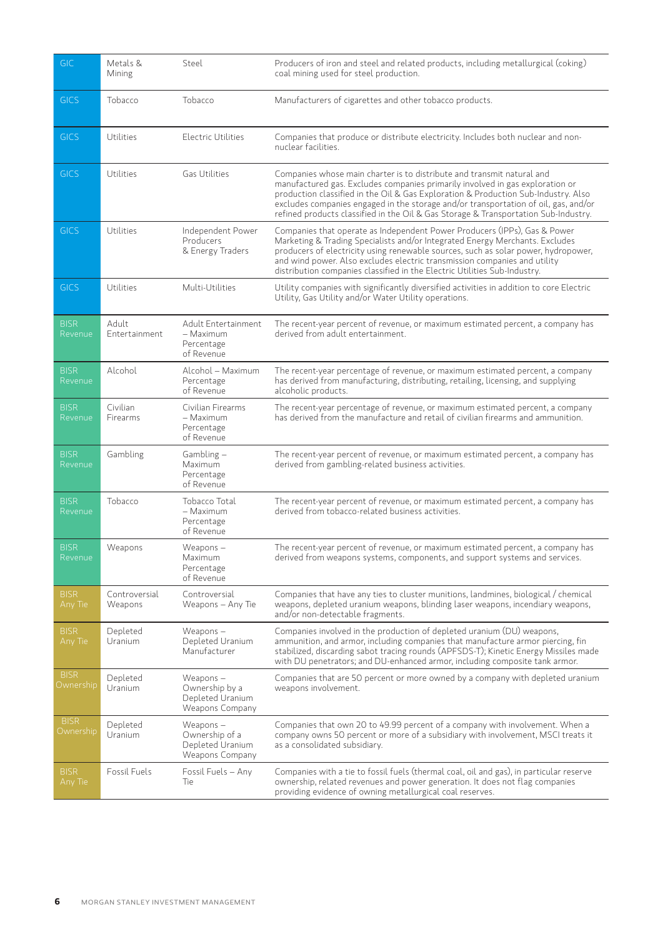| <b>GIC</b>               | Metals &<br>Mining       | Steel                                                                | Producers of iron and steel and related products, including metallurgical (coking)<br>coal mining used for steel production.                                                                                                                                                                                                                                                                                                |
|--------------------------|--------------------------|----------------------------------------------------------------------|-----------------------------------------------------------------------------------------------------------------------------------------------------------------------------------------------------------------------------------------------------------------------------------------------------------------------------------------------------------------------------------------------------------------------------|
| <b>GICS</b>              | Tobacco                  | Tobacco                                                              | Manufacturers of cigarettes and other tobacco products.                                                                                                                                                                                                                                                                                                                                                                     |
| <b>GICS</b>              | Utilities                | <b>Electric Utilities</b>                                            | Companies that produce or distribute electricity. Includes both nuclear and non-<br>nuclear facilities.                                                                                                                                                                                                                                                                                                                     |
| <b>GICS</b>              | Utilities                | Gas Utilities                                                        | Companies whose main charter is to distribute and transmit natural and<br>manufactured gas. Excludes companies primarily involved in gas exploration or<br>production classified in the Oil & Gas Exploration & Production Sub-Industry. Also<br>excludes companies engaged in the storage and/or transportation of oil, gas, and/or<br>refined products classified in the Oil & Gas Storage & Transportation Sub-Industry. |
| <b>GICS</b>              | Utilities                | Independent Power<br>Producers<br>& Energy Traders                   | Companies that operate as Independent Power Producers (IPPs), Gas & Power<br>Marketing & Trading Specialists and/or Integrated Energy Merchants. Excludes<br>producers of electricity using renewable sources, such as solar power, hydropower,<br>and wind power. Also excludes electric transmission companies and utility<br>distribution companies classified in the Electric Utilities Sub-Industry.                   |
| <b>GICS</b>              | Utilities                | Multi-Utilities                                                      | Utility companies with significantly diversified activities in addition to core Electric<br>Utility, Gas Utility and/or Water Utility operations.                                                                                                                                                                                                                                                                           |
| <b>BISR</b><br>Revenue   | Adult<br>Entertainment   | Adult Entertainment<br>- Maximum<br>Percentage<br>of Revenue         | The recent-year percent of revenue, or maximum estimated percent, a company has<br>derived from adult entertainment.                                                                                                                                                                                                                                                                                                        |
| <b>BISR</b><br>Revenue   | Alcohol                  | Alcohol - Maximum<br>Percentage<br>of Revenue                        | The recent-year percentage of revenue, or maximum estimated percent, a company<br>has derived from manufacturing, distributing, retailing, licensing, and supplying<br>alcoholic products.                                                                                                                                                                                                                                  |
| <b>BISR</b><br>Revenue   | Civilian<br>Firearms     | Civilian Firearms<br>- Maximum<br>Percentage<br>of Revenue           | The recent-year percentage of revenue, or maximum estimated percent, a company<br>has derived from the manufacture and retail of civilian firearms and ammunition.                                                                                                                                                                                                                                                          |
| <b>BISR</b><br>Revenue   | Gambling                 | $Gambling -$<br>Maximum<br>Percentage<br>of Revenue                  | The recent-year percent of revenue, or maximum estimated percent, a company has<br>derived from gambling-related business activities.                                                                                                                                                                                                                                                                                       |
| <b>BISR</b><br>Revenue   | Tobacco                  | Tobacco Total<br>- Maximum<br>Percentage<br>of Revenue               | The recent-year percent of revenue, or maximum estimated percent, a company has<br>derived from tobacco-related business activities.                                                                                                                                                                                                                                                                                        |
| <b>BISR</b><br>Revenue   | Weapons                  | Weapons $-$<br>Maximum<br>Percentage<br>of Revenue                   | The recent-year percent of revenue, or maximum estimated percent, a company has<br>derived from weapons systems, components, and support systems and services.                                                                                                                                                                                                                                                              |
| <b>BISR</b><br>Any Tie   | Controversial<br>Weapons | Controversial<br>Weapons - Any Tie                                   | Companies that have any ties to cluster munitions, landmines, biological / chemical<br>weapons, depleted uranium weapons, blinding laser weapons, incendiary weapons,<br>and/or non-detectable fragments.                                                                                                                                                                                                                   |
| <b>BISR</b><br>Any Tie   | Depleted<br>Uranium      | Weapons $-$<br>Depleted Uranium<br>Manufacturer                      | Companies involved in the production of depleted uranium (DU) weapons,<br>ammunition, and armor, including companies that manufacture armor piercing, fin<br>stabilized, discarding sabot tracing rounds (APFSDS-T); Kinetic Energy Missiles made<br>with DU penetrators; and DU-enhanced armor, including composite tank armor.                                                                                            |
| <b>BISR</b><br>Ownership | Depleted<br>Uranium      | Weapons $-$<br>Ownership by a<br>Depleted Uranium<br>Weapons Company | Companies that are 50 percent or more owned by a company with depleted uranium<br>weapons involvement.                                                                                                                                                                                                                                                                                                                      |
| <b>BISR</b><br>Ownership | Depleted<br>Uranium      | Weapons $-$<br>Ownership of a<br>Depleted Uranium<br>Weapons Company | Companies that own 20 to 49.99 percent of a company with involvement. When a<br>company owns 50 percent or more of a subsidiary with involvement, MSCI treats it<br>as a consolidated subsidiary.                                                                                                                                                                                                                           |
| <b>BISR</b><br>Any Tie   | <b>Fossil Fuels</b>      | Fossil Fuels - Any<br>Tie                                            | Companies with a tie to fossil fuels (thermal coal, oil and gas), in particular reserve<br>ownership, related revenues and power generation. It does not flag companies<br>providing evidence of owning metallurgical coal reserves.                                                                                                                                                                                        |